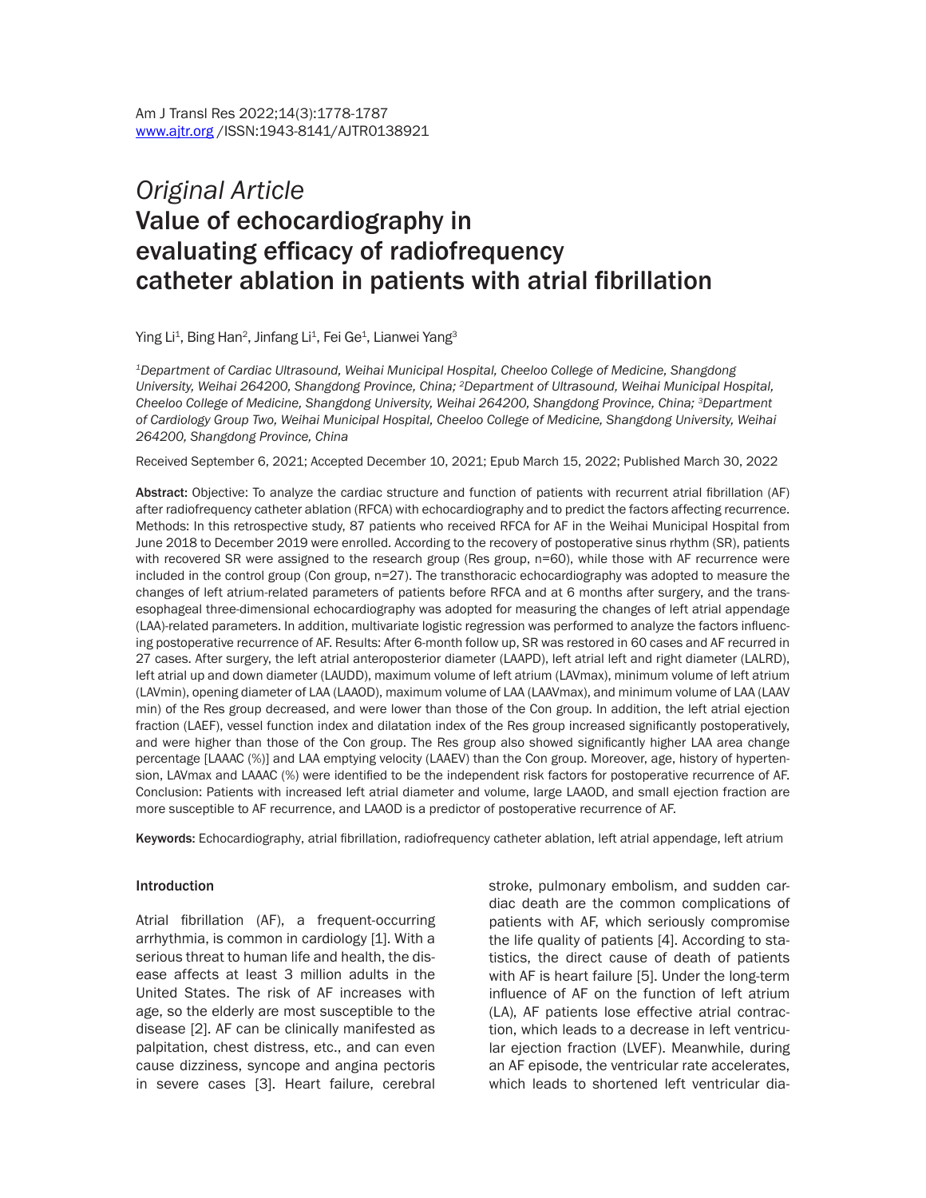# *Original Article* Value of echocardiography in evaluating efficacy of radiofrequency catheter ablation in patients with atrial fibrillation

Ying Li<sup>1</sup>, Bing Han<sup>2</sup>, Jinfang Li<sup>1</sup>, Fei Ge<sup>1</sup>, Lianwei Yang<sup>3</sup>

*1Department of Cardiac Ultrasound, Weihai Municipal Hospital, Cheeloo College of Medicine, Shangdong University, Weihai 264200, Shangdong Province, China; 2Department of Ultrasound, Weihai Municipal Hospital, Cheeloo College of Medicine, Shangdong University, Weihai 264200, Shangdong Province, China; 3Department of Cardiology Group Two, Weihai Municipal Hospital, Cheeloo College of Medicine, Shangdong University, Weihai 264200, Shangdong Province, China*

Received September 6, 2021; Accepted December 10, 2021; Epub March 15, 2022; Published March 30, 2022

Abstract: Objective: To analyze the cardiac structure and function of patients with recurrent atrial fibrillation (AF) after radiofrequency catheter ablation (RFCA) with echocardiography and to predict the factors affecting recurrence. Methods: In this retrospective study, 87 patients who received RFCA for AF in the Weihai Municipal Hospital from June 2018 to December 2019 were enrolled. According to the recovery of postoperative sinus rhythm (SR), patients with recovered SR were assigned to the research group (Res group, n=60), while those with AF recurrence were included in the control group (Con group, n=27). The transthoracic echocardiography was adopted to measure the changes of left atrium-related parameters of patients before RFCA and at 6 months after surgery, and the transesophageal three-dimensional echocardiography was adopted for measuring the changes of left atrial appendage (LAA)-related parameters. In addition, multivariate logistic regression was performed to analyze the factors influencing postoperative recurrence of AF. Results: After 6-month follow up, SR was restored in 60 cases and AF recurred in 27 cases. After surgery, the left atrial anteroposterior diameter (LAAPD), left atrial left and right diameter (LALRD), left atrial up and down diameter (LAUDD), maximum volume of left atrium (LAVmax), minimum volume of left atrium (LAVmin), opening diameter of LAA (LAAOD), maximum volume of LAA (LAAVmax), and minimum volume of LAA (LAAV min) of the Res group decreased, and were lower than those of the Con group. In addition, the left atrial ejection fraction (LAEF), vessel function index and dilatation index of the Res group increased significantly postoperatively, and were higher than those of the Con group. The Res group also showed significantly higher LAA area change percentage [LAAAC (%)] and LAA emptying velocity (LAAEV) than the Con group. Moreover, age, history of hypertension, LAVmax and LAAAC (%) were identified to be the independent risk factors for postoperative recurrence of AF. Conclusion: Patients with increased left atrial diameter and volume, large LAAOD, and small ejection fraction are more susceptible to AF recurrence, and LAAOD is a predictor of postoperative recurrence of AF.

Keywords: Echocardiography, atrial fibrillation, radiofrequency catheter ablation, left atrial appendage, left atrium

#### Introduction

Atrial fibrillation (AF), a frequent-occurring arrhythmia, is common in cardiology [1]. With a serious threat to human life and health, the disease affects at least 3 million adults in the United States. The risk of AF increases with age, so the elderly are most susceptible to the disease [2]. AF can be clinically manifested as palpitation, chest distress, etc., and can even cause dizziness, syncope and angina pectoris in severe cases [3]. Heart failure, cerebral stroke, pulmonary embolism, and sudden cardiac death are the common complications of patients with AF, which seriously compromise the life quality of patients [4]. According to statistics, the direct cause of death of patients with AF is heart failure [5]. Under the long-term influence of AF on the function of left atrium (LA), AF patients lose effective atrial contraction, which leads to a decrease in left ventricular ejection fraction (LVEF). Meanwhile, during an AF episode, the ventricular rate accelerates, which leads to shortened left ventricular dia-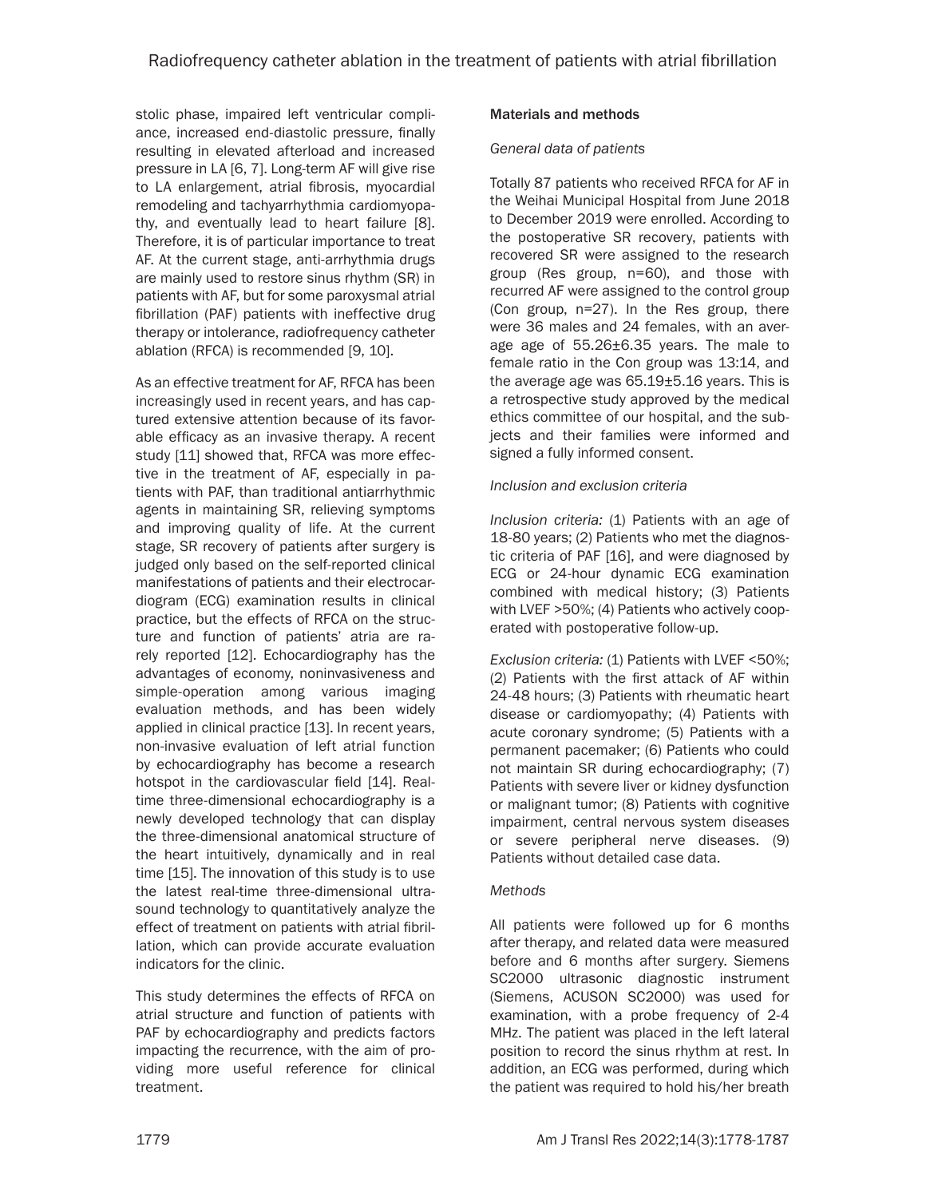stolic phase, impaired left ventricular compliance, increased end-diastolic pressure, finally resulting in elevated afterload and increased pressure in LA [6, 7]. Long-term AF will give rise to LA enlargement, atrial fibrosis, myocardial remodeling and tachyarrhythmia cardiomyopathy, and eventually lead to heart failure [8]. Therefore, it is of particular importance to treat AF. At the current stage, anti-arrhythmia drugs are mainly used to restore sinus rhythm (SR) in patients with AF, but for some paroxysmal atrial fibrillation (PAF) patients with ineffective drug therapy or intolerance, radiofrequency catheter ablation (RFCA) is recommended [9, 10].

As an effective treatment for AF, RFCA has been increasingly used in recent years, and has captured extensive attention because of its favorable efficacy as an invasive therapy. A recent study [11] showed that, RFCA was more effective in the treatment of AF, especially in patients with PAF, than traditional antiarrhythmic agents in maintaining SR, relieving symptoms and improving quality of life. At the current stage, SR recovery of patients after surgery is judged only based on the self-reported clinical manifestations of patients and their electrocardiogram (ECG) examination results in clinical practice, but the effects of RFCA on the structure and function of patients' atria are rarely reported [12]. Echocardiography has the advantages of economy, noninvasiveness and simple-operation among various imaging evaluation methods, and has been widely applied in clinical practice [13]. In recent years, non-invasive evaluation of left atrial function by echocardiography has become a research hotspot in the cardiovascular field [14]. Realtime three-dimensional echocardiography is a newly developed technology that can display the three-dimensional anatomical structure of the heart intuitively, dynamically and in real time [15]. The innovation of this study is to use the latest real-time three-dimensional ultrasound technology to quantitatively analyze the effect of treatment on patients with atrial fibrillation, which can provide accurate evaluation indicators for the clinic.

This study determines the effects of RFCA on atrial structure and function of patients with PAF by echocardiography and predicts factors impacting the recurrence, with the aim of providing more useful reference for clinical treatment.

# Materials and methods

## *General data of patients*

Totally 87 patients who received RFCA for AF in the Weihai Municipal Hospital from June 2018 to December 2019 were enrolled. According to the postoperative SR recovery, patients with recovered SR were assigned to the research group (Res group, n=60), and those with recurred AF were assigned to the control group (Con group, n=27). In the Res group, there were 36 males and 24 females, with an average age of 55.26±6.35 years. The male to female ratio in the Con group was 13:14, and the average age was 65.19±5.16 years. This is a retrospective study approved by the medical ethics committee of our hospital, and the subjects and their families were informed and signed a fully informed consent.

## *Inclusion and exclusion criteria*

*Inclusion criteria:* (1) Patients with an age of 18-80 years; (2) Patients who met the diagnostic criteria of PAF [16], and were diagnosed by ECG or 24-hour dynamic ECG examination combined with medical history; (3) Patients with LVEF >50%; (4) Patients who actively cooperated with postoperative follow-up.

*Exclusion criteria:* (1) Patients with LVEF <50%; (2) Patients with the first attack of AF within 24-48 hours; (3) Patients with rheumatic heart disease or cardiomyopathy; (4) Patients with acute coronary syndrome; (5) Patients with a permanent pacemaker; (6) Patients who could not maintain SR during echocardiography; (7) Patients with severe liver or kidney dysfunction or malignant tumor; (8) Patients with cognitive impairment, central nervous system diseases or severe peripheral nerve diseases. (9) Patients without detailed case data.

# *Methods*

All patients were followed up for 6 months after therapy, and related data were measured before and 6 months after surgery. Siemens SC2000 ultrasonic diagnostic instrument (Siemens, ACUSON SC2000) was used for examination, with a probe frequency of 2-4 MHz. The patient was placed in the left lateral position to record the sinus rhythm at rest. In addition, an ECG was performed, during which the patient was required to hold his/her breath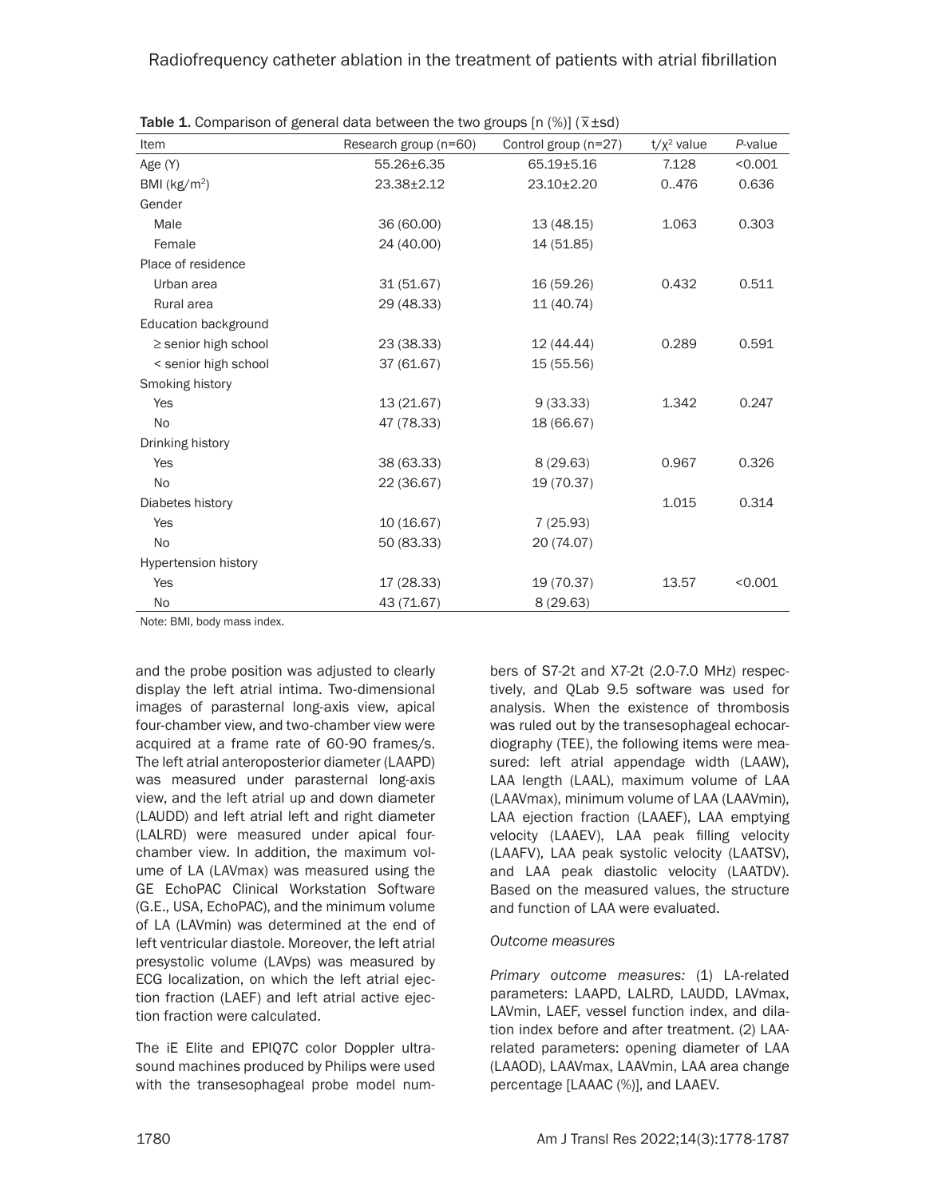# Radiofrequency catheter ablation in the treatment of patients with atrial fibrillation

| Item                     | Research group (n=60) | Control group (n=27) | $t/x^2$ value | P-value |  |
|--------------------------|-----------------------|----------------------|---------------|---------|--|
| Age (Y)                  | 55.26±6.35            | 65.19±5.16           | 7.128         | < 0.001 |  |
| BMI ( $kg/m2$ )          | $23.38 \pm 2.12$      | 23.10±2.20           | 0.476         | 0.636   |  |
| Gender                   |                       |                      |               |         |  |
| Male                     | 36 (60.00)            | 13(48.15)            | 1.063         | 0.303   |  |
| Female                   | 24 (40.00)            | 14 (51.85)           |               |         |  |
| Place of residence       |                       |                      |               |         |  |
| Urban area               | 31(51.67)             | 16 (59.26)           | 0.432         | 0.511   |  |
| Rural area               | 29 (48.33)            | 11 (40.74)           |               |         |  |
| Education background     |                       |                      |               |         |  |
| $\ge$ senior high school | 23 (38.33)            | 12 (44.44)           | 0.289         | 0.591   |  |
| < senior high school     | 37 (61.67)            | 15 (55.56)           |               |         |  |
| Smoking history          |                       |                      |               |         |  |
| Yes                      | 13(21.67)             | 9(33.33)             | 1.342         | 0.247   |  |
| <b>No</b>                | 47 (78.33)            | 18 (66.67)           |               |         |  |
| Drinking history         |                       |                      |               |         |  |
| Yes                      | 38 (63.33)            | 8(29.63)             | 0.967         | 0.326   |  |
| No                       | 22 (36.67)            | 19 (70.37)           |               |         |  |
| Diabetes history         |                       |                      | 1.015         | 0.314   |  |
| Yes                      | 10(16.67)             | 7(25.93)             |               |         |  |
| <b>No</b>                | 50 (83.33)            | 20 (74.07)           |               |         |  |
| Hypertension history     |                       |                      |               |         |  |
| Yes                      | 17 (28.33)            | 19 (70.37)           | 13.57         | < 0.001 |  |
| <b>No</b>                | 43 (71.67)            | 8(29.63)             |               |         |  |

Table 1. Comparison of general data between the two groups [n (%)] ( $\bar{x}$ ±sd)

Note: BMI, body mass index.

and the probe position was adjusted to clearly display the left atrial intima. Two-dimensional images of parasternal long-axis view, apical four-chamber view, and two-chamber view were acquired at a frame rate of 60-90 frames/s. The left atrial anteroposterior diameter (LAAPD) was measured under parasternal long-axis view, and the left atrial up and down diameter (LAUDD) and left atrial left and right diameter (LALRD) were measured under apical fourchamber view. In addition, the maximum volume of LA (LAVmax) was measured using the GE EchoPAC Clinical Workstation Software (G.E., USA, EchoPAC), and the minimum volume of LA (LAVmin) was determined at the end of left ventricular diastole. Moreover, the left atrial presystolic volume (LAVps) was measured by ECG localization, on which the left atrial ejection fraction (LAEF) and left atrial active ejection fraction were calculated.

The iE Elite and EPIQ7C color Doppler ultrasound machines produced by Philips were used with the transesophageal probe model numbers of S7-2t and X7-2t (2.0-7.0 MHz) respectively, and QLab 9.5 software was used for analysis. When the existence of thrombosis was ruled out by the transesophageal echocardiography (TEE), the following items were measured: left atrial appendage width (LAAW), LAA length (LAAL), maximum volume of LAA (LAAVmax), minimum volume of LAA (LAAVmin), LAA ejection fraction (LAAEF), LAA emptying velocity (LAAEV), LAA peak filling velocity (LAAFV), LAA peak systolic velocity (LAATSV), and LAA peak diastolic velocity (LAATDV). Based on the measured values, the structure and function of LAA were evaluated.

## *Outcome measures*

*Primary outcome measures:* (1) LA-related parameters: LAAPD, LALRD, LAUDD, LAVmax, LAVmin, LAEF, vessel function index, and dilation index before and after treatment. (2) LAArelated parameters: opening diameter of LAA (LAAOD), LAAVmax, LAAVmin, LAA area change percentage [LAAAC (%)], and LAAEV.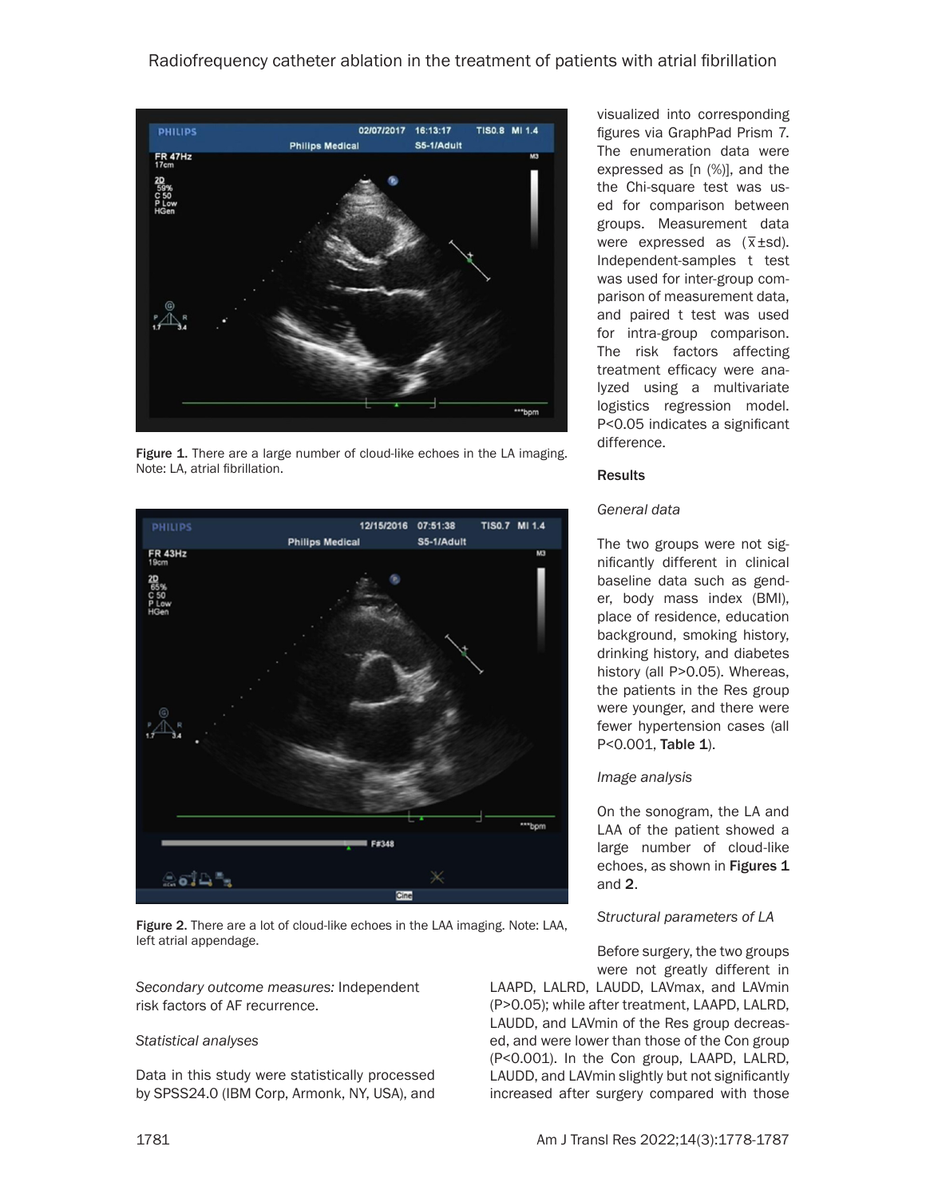

Figure 1. There are a large number of cloud-like echoes in the LA imaging. Note: LA, atrial fibrillation.



Figure 2. There are a lot of cloud-like echoes in the LAA imaging. Note: LAA, left atrial appendage.

*Secondary outcome measures:* Independent risk factors of AF recurrence.

## *Statistical analyses*

Data in this study were statistically processed by SPSS24.0 (IBM Corp, Armonk, NY, USA), and visualized into corresponding figures via GraphPad Prism 7. The enumeration data were expressed as [n (%)], and the the Chi-square test was used for comparison between groups. Measurement data groups. measurement data<br>were expressed as ( $\overline{x}$ ±sd). Independent-samples t test was used for inter-group comparison of measurement data, and paired t test was used for intra-group comparison. The risk factors affecting treatment efficacy were analyzed using a multivariate logistics regression model. P<0.05 indicates a significant difference.

#### **Results**

#### *General data*

The two groups were not significantly different in clinical baseline data such as gender, body mass index (BMI), place of residence, education background, smoking history, drinking history, and diabetes history (all P>0.05). Whereas, the patients in the Res group were younger, and there were fewer hypertension cases (all P<0.001, Table 1).

#### *Image analysis*

On the sonogram, the LA and LAA of the patient showed a large number of cloud-like echoes, as shown in Figures 1 and 2.

## *Structural parameters of LA*

Before surgery, the two groups were not greatly different in

LAAPD, LALRD, LAUDD, LAVmax, and LAVmin (P>0.05); while after treatment, LAAPD, LALRD, LAUDD, and LAVmin of the Res group decreased, and were lower than those of the Con group (P<0.001). In the Con group, LAAPD, LALRD, LAUDD, and LAVmin slightly but not significantly increased after surgery compared with those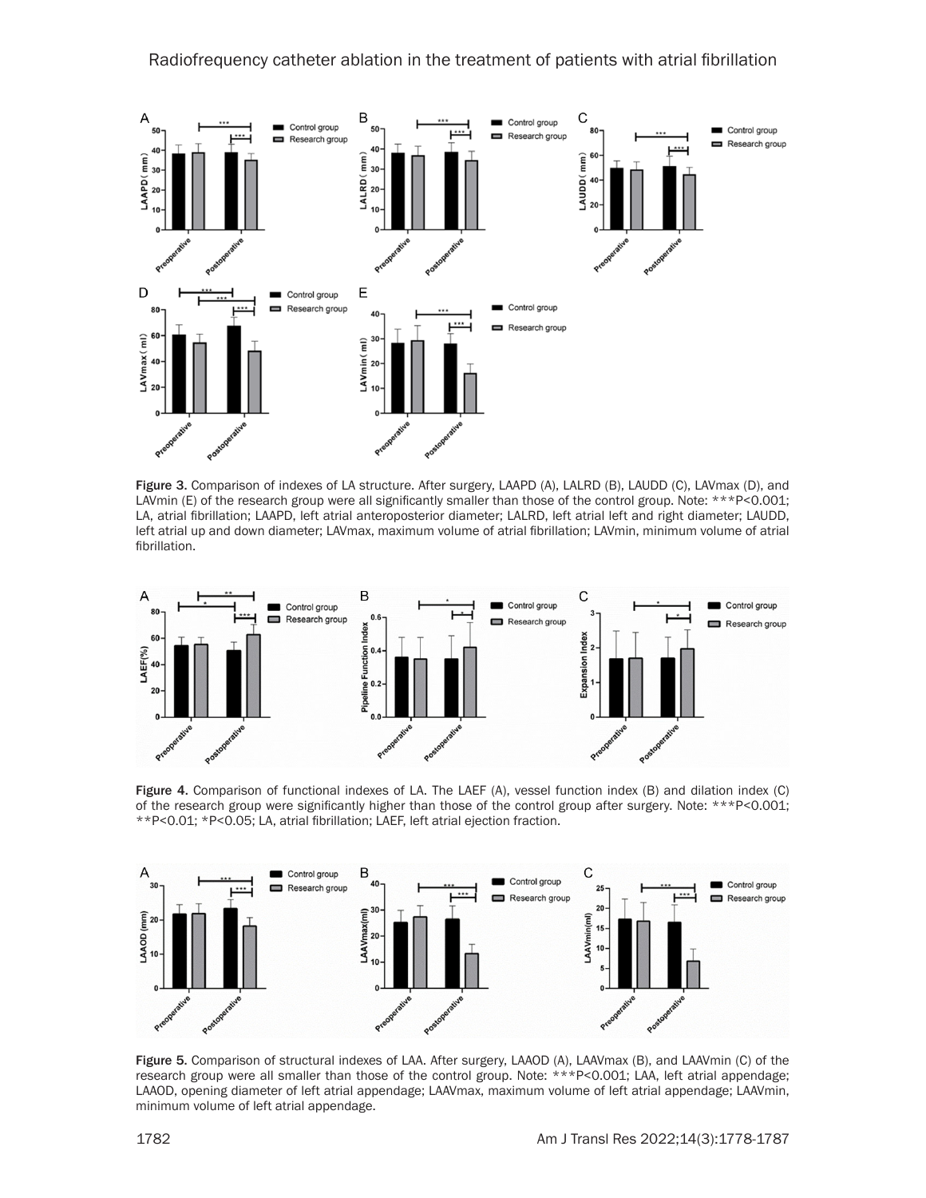

Figure 3. Comparison of indexes of LA structure. After surgery, LAAPD (A), LALRD (B), LAUDD (C), LAVmax (D), and LAVmin (E) of the research group were all significantly smaller than those of the control group. Note: \*\*\*P<0.001; LA, atrial fibrillation; LAAPD, left atrial anteroposterior diameter; LALRD, left atrial left and right diameter; LAUDD, left atrial up and down diameter; LAVmax, maximum volume of atrial fibrillation; LAVmin, minimum volume of atrial fibrillation.



Figure 4. Comparison of functional indexes of LA. The LAEF (A), vessel function index (B) and dilation index (C) of the research group were significantly higher than those of the control group after surgery. Note: \*\*\*P<0.001; \*\*P<0.01; \*P<0.05; LA, atrial fibrillation; LAEF, left atrial ejection fraction.



Figure 5. Comparison of structural indexes of LAA. After surgery, LAAOD (A), LAAVmax (B), and LAAVmin (C) of the research group were all smaller than those of the control group. Note: \*\*\*P<0.001; LAA, left atrial appendage; LAAOD, opening diameter of left atrial appendage; LAAVmax, maximum volume of left atrial appendage; LAAVmin, minimum volume of left atrial appendage.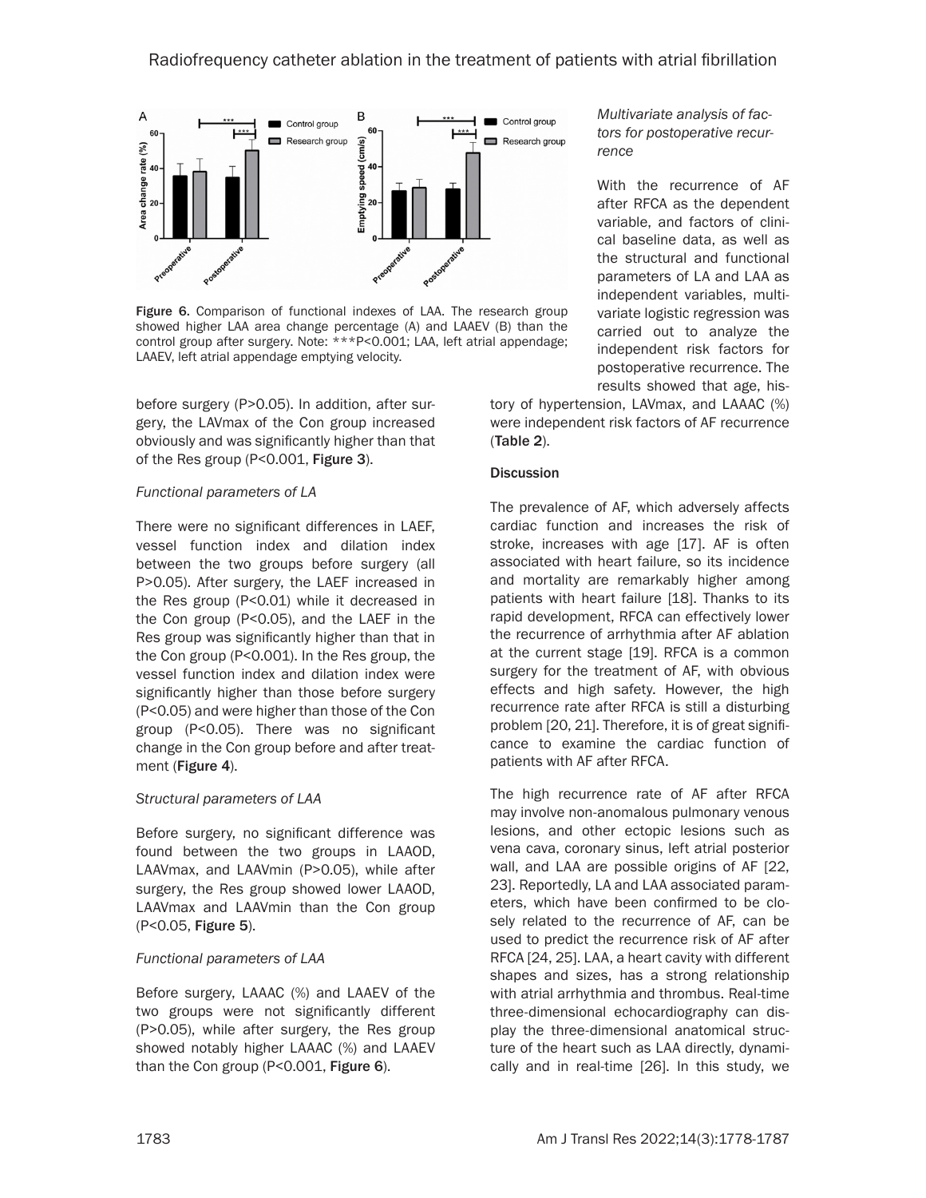

Figure 6. Comparison of functional indexes of LAA. The research group showed higher LAA area change percentage (A) and LAAEV (B) than the control group after surgery. Note: \*\*\*P<0.001; LAA, left atrial appendage; LAAEV, left atrial appendage emptying velocity.

before surgery (P>0.05). In addition, after surgery, the LAVmax of the Con group increased obviously and was significantly higher than that of the Res group (P<0.001, Figure 3).

# *Functional parameters of LA*

There were no significant differences in LAEF, vessel function index and dilation index between the two groups before surgery (all P>0.05). After surgery, the LAEF increased in the Res group (P<0.01) while it decreased in the Con group (P<0.05), and the LAEF in the Res group was significantly higher than that in the Con group (P<0.001). In the Res group, the vessel function index and dilation index were significantly higher than those before surgery (P<0.05) and were higher than those of the Con group (P<0.05). There was no significant change in the Con group before and after treatment (Figure 4).

# *Structural parameters of LAA*

Before surgery, no significant difference was found between the two groups in LAAOD, LAAVmax, and LAAVmin (P>0.05), while after surgery, the Res group showed lower LAAOD, LAAVmax and LAAVmin than the Con group (P<0.05, Figure 5).

# *Functional parameters of LAA*

Before surgery, LAAAC (%) and LAAEV of the two groups were not significantly different (P>0.05), while after surgery, the Res group showed notably higher LAAAC (%) and LAAEV than the Con group (P<0.001, Figure 6).

# *Multivariate analysis of factors for postoperative recurrence*

With the recurrence of AF after RFCA as the dependent variable, and factors of clinical baseline data, as well as the structural and functional parameters of LA and LAA as independent variables, multivariate logistic regression was carried out to analyze the independent risk factors for postoperative recurrence. The results showed that age, his-

tory of hypertension, LAVmax, and LAAAC (%) were independent risk factors of AF recurrence (Table 2).

# **Discussion**

The prevalence of AF, which adversely affects cardiac function and increases the risk of stroke, increases with age [17]. AF is often associated with heart failure, so its incidence and mortality are remarkably higher among patients with heart failure [18]. Thanks to its rapid development, RFCA can effectively lower the recurrence of arrhythmia after AF ablation at the current stage [19]. RFCA is a common surgery for the treatment of AF, with obvious effects and high safety. However, the high recurrence rate after RFCA is still a disturbing problem [20, 21]. Therefore, it is of great significance to examine the cardiac function of patients with AF after RFCA.

The high recurrence rate of AF after RFCA may involve non-anomalous pulmonary venous lesions, and other ectopic lesions such as vena cava, coronary sinus, left atrial posterior wall, and LAA are possible origins of AF [22, 23]. Reportedly, LA and LAA associated parameters, which have been confirmed to be closely related to the recurrence of AF, can be used to predict the recurrence risk of AF after RFCA [24, 25]. LAA, a heart cavity with different shapes and sizes, has a strong relationship with atrial arrhythmia and thrombus. Real-time three-dimensional echocardiography can display the three-dimensional anatomical structure of the heart such as LAA directly, dynamically and in real-time [26]. In this study, we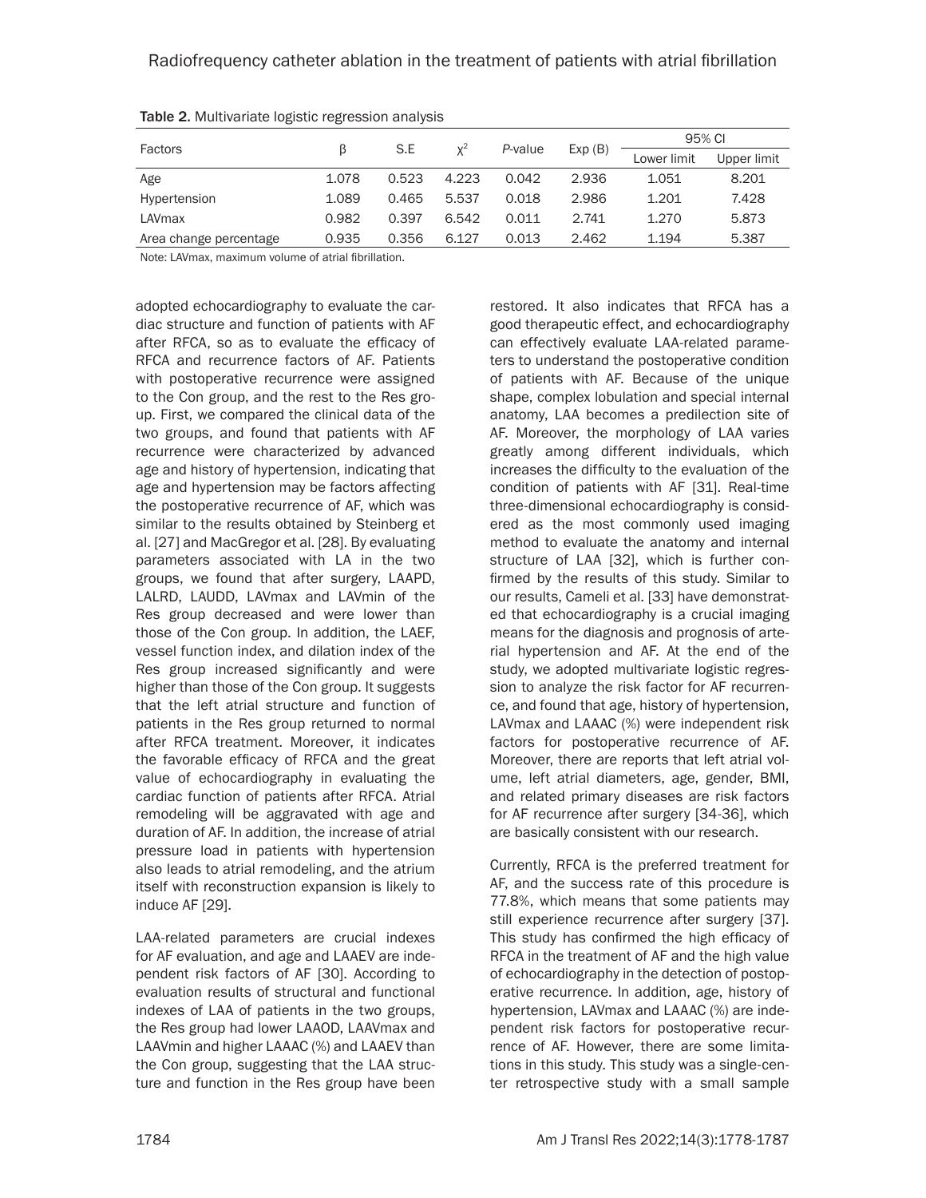| Factors                |       | S.E   | $x^2$ | P-value | Exp(B) | 95% CI      |             |
|------------------------|-------|-------|-------|---------|--------|-------------|-------------|
|                        |       |       |       |         |        | Lower limit | Upper limit |
| Age                    | 1.078 | 0.523 | 4.223 | 0.042   | 2.936  | 1.051       | 8.201       |
| Hypertension           | 1.089 | 0.465 | 5.537 | 0.018   | 2.986  | 1.201       | 7.428       |
| LAVmax                 | 0.982 | 0.397 | 6.542 | 0.011   | 2.741  | 1.270       | 5.873       |
| Area change percentage | 0.935 | 0.356 | 6.127 | 0.013   | 2.462  | 1.194       | 5.387       |

Table 2. Multivariate logistic regression analysis

Note: LAVmax, maximum volume of atrial fibrillation.

adopted echocardiography to evaluate the cardiac structure and function of patients with AF after RFCA, so as to evaluate the efficacy of RFCA and recurrence factors of AF. Patients with postoperative recurrence were assigned to the Con group, and the rest to the Res group. First, we compared the clinical data of the two groups, and found that patients with AF recurrence were characterized by advanced age and history of hypertension, indicating that age and hypertension may be factors affecting the postoperative recurrence of AF, which was similar to the results obtained by Steinberg et al. [27] and MacGregor et al. [28]. By evaluating parameters associated with LA in the two groups, we found that after surgery, LAAPD, LALRD, LAUDD, LAVmax and LAVmin of the Res group decreased and were lower than those of the Con group. In addition, the LAEF, vessel function index, and dilation index of the Res group increased significantly and were higher than those of the Con group. It suggests that the left atrial structure and function of patients in the Res group returned to normal after RFCA treatment. Moreover, it indicates the favorable efficacy of RFCA and the great value of echocardiography in evaluating the cardiac function of patients after RFCA. Atrial remodeling will be aggravated with age and duration of AF. In addition, the increase of atrial pressure load in patients with hypertension also leads to atrial remodeling, and the atrium itself with reconstruction expansion is likely to induce AF [29].

LAA-related parameters are crucial indexes for AF evaluation, and age and LAAEV are independent risk factors of AF [30]. According to evaluation results of structural and functional indexes of LAA of patients in the two groups, the Res group had lower LAAOD, LAAVmax and LAAVmin and higher LAAAC (%) and LAAEV than the Con group, suggesting that the LAA structure and function in the Res group have been

restored. It also indicates that RFCA has a good therapeutic effect, and echocardiography can effectively evaluate LAA-related parameters to understand the postoperative condition of patients with AF. Because of the unique shape, complex lobulation and special internal anatomy, LAA becomes a predilection site of AF. Moreover, the morphology of LAA varies greatly among different individuals, which increases the difficulty to the evaluation of the condition of patients with AF [31]. Real-time three-dimensional echocardiography is considered as the most commonly used imaging method to evaluate the anatomy and internal structure of LAA [32], which is further confirmed by the results of this study. Similar to our results, Cameli et al. [33] have demonstrated that echocardiography is a crucial imaging means for the diagnosis and prognosis of arterial hypertension and AF. At the end of the study, we adopted multivariate logistic regression to analyze the risk factor for AF recurrence, and found that age, history of hypertension, LAVmax and LAAAC (%) were independent risk factors for postoperative recurrence of AF. Moreover, there are reports that left atrial volume, left atrial diameters, age, gender, BMI, and related primary diseases are risk factors for AF recurrence after surgery [34-36], which are basically consistent with our research.

Currently, RFCA is the preferred treatment for AF, and the success rate of this procedure is 77.8%, which means that some patients may still experience recurrence after surgery [37]. This study has confirmed the high efficacy of RFCA in the treatment of AF and the high value of echocardiography in the detection of postoperative recurrence. In addition, age, history of hypertension, LAVmax and LAAAC (%) are independent risk factors for postoperative recurrence of AF. However, there are some limitations in this study. This study was a single-center retrospective study with a small sample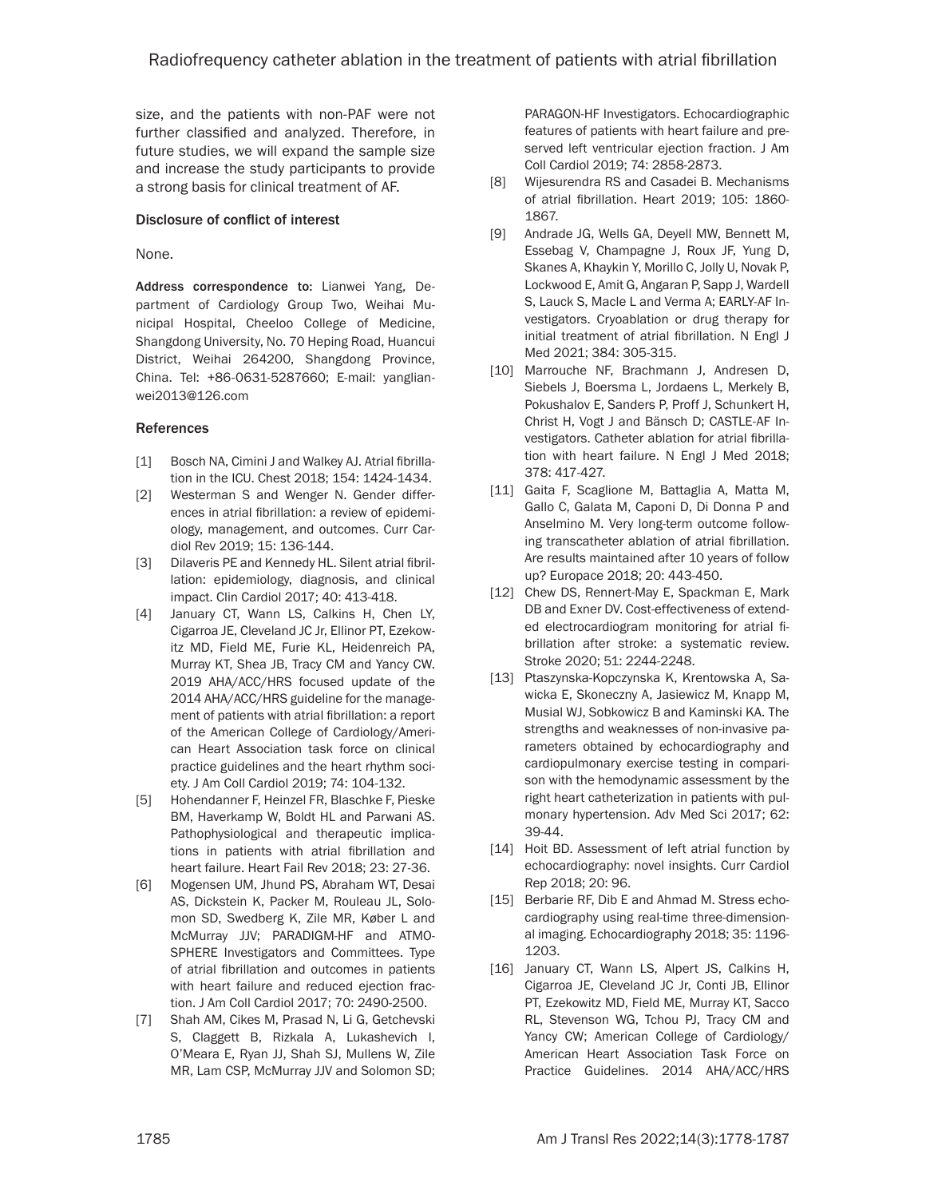size, and the patients with non-PAF were not further classified and analyzed. Therefore, in future studies, we will expand the sample size and increase the study participants to provide a strong basis for clinical treatment of AF.

## Disclosure of conflict of interest

## None.

Address correspondence to: Lianwei Yang, Department of Cardiology Group Two, Weihai Municipal Hospital, Cheeloo College of Medicine, Shangdong University, No. 70 Heping Road, Huancui District, Weihai 264200, Shangdong Province, China. Tel: +86-0631-5287660; E-mail: [yanglian](mailto:yanglianwei2013@126.com)[wei2013@126.com](mailto:yanglianwei2013@126.com)

# References

- [1] Bosch NA, Cimini J and Walkey AJ. Atrial fibrillation in the ICU. Chest 2018; 154: 1424-1434.
- [2] Westerman S and Wenger N. Gender differences in atrial fibrillation: a review of epidemiology, management, and outcomes. Curr Cardiol Rev 2019; 15: 136-144.
- [3] Dilaveris PE and Kennedy HL. Silent atrial fibrillation: epidemiology, diagnosis, and clinical impact. Clin Cardiol 2017; 40: 413-418.
- [4] January CT, Wann LS, Calkins H, Chen LY, Cigarroa JE, Cleveland JC Jr, Ellinor PT, Ezekowitz MD, Field ME, Furie KL, Heidenreich PA, Murray KT, Shea JB, Tracy CM and Yancy CW. 2019 AHA/ACC/HRS focused update of the 2014 AHA/ACC/HRS guideline for the management of patients with atrial fibrillation: a report of the American College of Cardiology/American Heart Association task force on clinical practice guidelines and the heart rhythm society. J Am Coll Cardiol 2019; 74: 104-132.
- [5] Hohendanner F, Heinzel FR, Blaschke F, Pieske BM, Haverkamp W, Boldt HL and Parwani AS. Pathophysiological and therapeutic implications in patients with atrial fibrillation and heart failure. Heart Fail Rev 2018; 23: 27-36.
- [6] Mogensen UM, Jhund PS, Abraham WT, Desai AS, Dickstein K, Packer M, Rouleau JL, Solomon SD, Swedberg K, Zile MR, Køber L and McMurray JJV; PARADIGM-HF and ATMO-SPHERE Investigators and Committees. Type of atrial fibrillation and outcomes in patients with heart failure and reduced ejection fraction. J Am Coll Cardiol 2017; 70: 2490-2500.
- [7] Shah AM, Cikes M, Prasad N, Li G, Getchevski S, Claggett B, Rizkala A, Lukashevich I, O'Meara E, Ryan JJ, Shah SJ, Mullens W, Zile MR, Lam CSP, McMurray JJV and Solomon SD;

PARAGON-HF Investigators. Echocardiographic features of patients with heart failure and preserved left ventricular ejection fraction. J Am Coll Cardiol 2019; 74: 2858-2873.

- [8] Wijesurendra RS and Casadei B. Mechanisms of atrial fibrillation. Heart 2019; 105: 1860- 1867.
- [9] Andrade JG, Wells GA, Deyell MW, Bennett M, Essebag V, Champagne J, Roux JF, Yung D, Skanes A, Khaykin Y, Morillo C, Jolly U, Novak P, Lockwood E, Amit G, Angaran P, Sapp J, Wardell S, Lauck S, Macle L and Verma A; EARLY-AF Investigators. Cryoablation or drug therapy for initial treatment of atrial fibrillation. N Engl J Med 2021; 384: 305-315.
- [10] Marrouche NF, Brachmann J, Andresen D, Siebels J, Boersma L, Jordaens L, Merkely B, Pokushalov E, Sanders P, Proff J, Schunkert H, Christ H, Vogt J and Bänsch D; CASTLE-AF Investigators. Catheter ablation for atrial fibrillation with heart failure. N Engl J Med 2018; 378: 417-427.
- [11] Gaita F, Scaglione M, Battaglia A, Matta M, Gallo C, Galata M, Caponi D, Di Donna P and Anselmino M. Very long-term outcome following transcatheter ablation of atrial fibrillation. Are results maintained after 10 years of follow up? Europace 2018; 20: 443-450.
- [12] Chew DS, Rennert-May E, Spackman E, Mark DB and Exner DV. Cost-effectiveness of extended electrocardiogram monitoring for atrial fibrillation after stroke: a systematic review. Stroke 2020; 51: 2244-2248.
- [13] Ptaszynska-Kopczynska K, Krentowska A, Sawicka E, Skoneczny A, Jasiewicz M, Knapp M, Musial WJ, Sobkowicz B and Kaminski KA. The strengths and weaknesses of non-invasive parameters obtained by echocardiography and cardiopulmonary exercise testing in comparison with the hemodynamic assessment by the right heart catheterization in patients with pulmonary hypertension. Adv Med Sci 2017; 62: 39-44.
- [14] Hoit BD. Assessment of left atrial function by echocardiography: novel insights. Curr Cardiol Rep 2018; 20: 96.
- [15] Berbarie RF, Dib E and Ahmad M. Stress echocardiography using real-time three-dimensional imaging. Echocardiography 2018; 35: 1196- 1203.
- [16] January CT, Wann LS, Alpert JS, Calkins H, Cigarroa JE, Cleveland JC Jr, Conti JB, Ellinor PT, Ezekowitz MD, Field ME, Murray KT, Sacco RL, Stevenson WG, Tchou PJ, Tracy CM and Yancy CW; American College of Cardiology/ American Heart Association Task Force on Practice Guidelines. 2014 AHA/ACC/HRS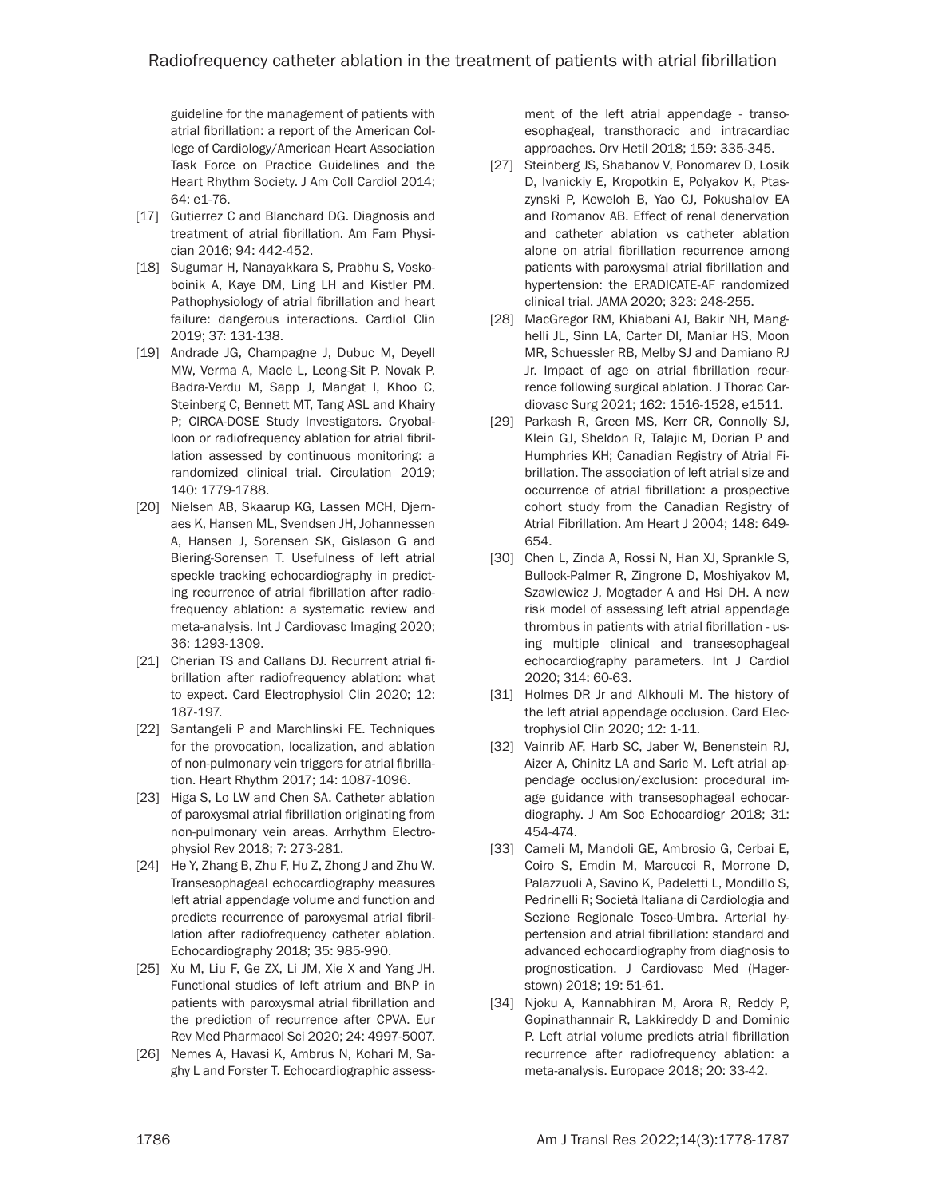guideline for the management of patients with atrial fibrillation: a report of the American College of Cardiology/American Heart Association Task Force on Practice Guidelines and the Heart Rhythm Society. J Am Coll Cardiol 2014; 64: e1-76.

- [17] Gutierrez C and Blanchard DG. Diagnosis and treatment of atrial fibrillation. Am Fam Physician 2016; 94: 442-452.
- [18] Sugumar H, Nanayakkara S, Prabhu S, Voskoboinik A, Kaye DM, Ling LH and Kistler PM. Pathophysiology of atrial fibrillation and heart failure: dangerous interactions. Cardiol Clin 2019; 37: 131-138.
- [19] Andrade JG, Champagne J, Dubuc M, Deyell MW, Verma A, Macle L, Leong-Sit P, Novak P, Badra-Verdu M, Sapp J, Mangat I, Khoo C, Steinberg C, Bennett MT, Tang ASL and Khairy P; CIRCA-DOSE Study Investigators. Cryoballoon or radiofrequency ablation for atrial fibrillation assessed by continuous monitoring: a randomized clinical trial. Circulation 2019; 140: 1779-1788.
- [20] Nielsen AB, Skaarup KG, Lassen MCH, Djernaes K, Hansen ML, Svendsen JH, Johannessen A, Hansen J, Sorensen SK, Gislason G and Biering-Sorensen T. Usefulness of left atrial speckle tracking echocardiography in predicting recurrence of atrial fibrillation after radiofrequency ablation: a systematic review and meta-analysis. Int J Cardiovasc Imaging 2020; 36: 1293-1309.
- [21] Cherian TS and Callans DJ. Recurrent atrial fibrillation after radiofrequency ablation: what to expect. Card Electrophysiol Clin 2020; 12: 187-197.
- [22] Santangeli P and Marchlinski FE. Techniques for the provocation, localization, and ablation of non-pulmonary vein triggers for atrial fibrillation. Heart Rhythm 2017; 14: 1087-1096.
- [23] Higa S, Lo LW and Chen SA. Catheter ablation of paroxysmal atrial fibrillation originating from non-pulmonary vein areas. Arrhythm Electrophysiol Rev 2018; 7: 273-281.
- [24] He Y, Zhang B, Zhu F, Hu Z, Zhong J and Zhu W. Transesophageal echocardiography measures left atrial appendage volume and function and predicts recurrence of paroxysmal atrial fibrillation after radiofrequency catheter ablation. Echocardiography 2018; 35: 985-990.
- [25] Xu M, Liu F, Ge ZX, Li JM, Xie X and Yang JH. Functional studies of left atrium and BNP in patients with paroxysmal atrial fibrillation and the prediction of recurrence after CPVA. Eur Rev Med Pharmacol Sci 2020; 24: 4997-5007.
- [26] Nemes A, Havasi K, Ambrus N, Kohari M, Saghy L and Forster T. Echocardiographic assess-

ment of the left atrial appendage - transoesophageal, transthoracic and intracardiac approaches. Orv Hetil 2018; 159: 335-345.

- [27] Steinberg JS, Shabanov V, Ponomarev D, Losik D, Ivanickiy E, Kropotkin E, Polyakov K, Ptaszynski P, Keweloh B, Yao CJ, Pokushalov EA and Romanov AB. Effect of renal denervation and catheter ablation vs catheter ablation alone on atrial fibrillation recurrence among patients with paroxysmal atrial fibrillation and hypertension: the ERADICATE-AF randomized clinical trial. JAMA 2020; 323: 248-255.
- [28] MacGregor RM, Khiabani AJ, Bakir NH, Manghelli JL, Sinn LA, Carter DI, Maniar HS, Moon MR, Schuessler RB, Melby SJ and Damiano RJ Jr. Impact of age on atrial fibrillation recurrence following surgical ablation. J Thorac Cardiovasc Surg 2021; 162: 1516-1528, e1511.
- [29] Parkash R, Green MS, Kerr CR, Connolly SJ, Klein GJ, Sheldon R, Talajic M, Dorian P and Humphries KH; Canadian Registry of Atrial Fibrillation. The association of left atrial size and occurrence of atrial fibrillation: a prospective cohort study from the Canadian Registry of Atrial Fibrillation. Am Heart J 2004; 148: 649- 654.
- [30] Chen L, Zinda A, Rossi N, Han XJ, Sprankle S, Bullock-Palmer R, Zingrone D, Moshiyakov M, Szawlewicz J, Mogtader A and Hsi DH. A new risk model of assessing left atrial appendage thrombus in patients with atrial fibrillation - using multiple clinical and transesophageal echocardiography parameters. Int J Cardiol 2020; 314: 60-63.
- [31] Holmes DR Jr and Alkhouli M. The history of the left atrial appendage occlusion. Card Electrophysiol Clin 2020; 12: 1-11.
- [32] Vainrib AF, Harb SC, Jaber W, Benenstein RJ, Aizer A, Chinitz LA and Saric M. Left atrial appendage occlusion/exclusion: procedural image guidance with transesophageal echocardiography. J Am Soc Echocardiogr 2018; 31: 454-474.
- [33] Cameli M, Mandoli GE, Ambrosio G, Cerbai E, Coiro S, Emdin M, Marcucci R, Morrone D, Palazzuoli A, Savino K, Padeletti L, Mondillo S, Pedrinelli R; Società Italiana di Cardiologia and Sezione Regionale Tosco-Umbra. Arterial hypertension and atrial fibrillation: standard and advanced echocardiography from diagnosis to prognostication. J Cardiovasc Med (Hagerstown) 2018; 19: 51-61.
- [34] Njoku A, Kannabhiran M, Arora R, Reddy P, Gopinathannair R, Lakkireddy D and Dominic P. Left atrial volume predicts atrial fibrillation recurrence after radiofrequency ablation: a meta-analysis. Europace 2018; 20: 33-42.